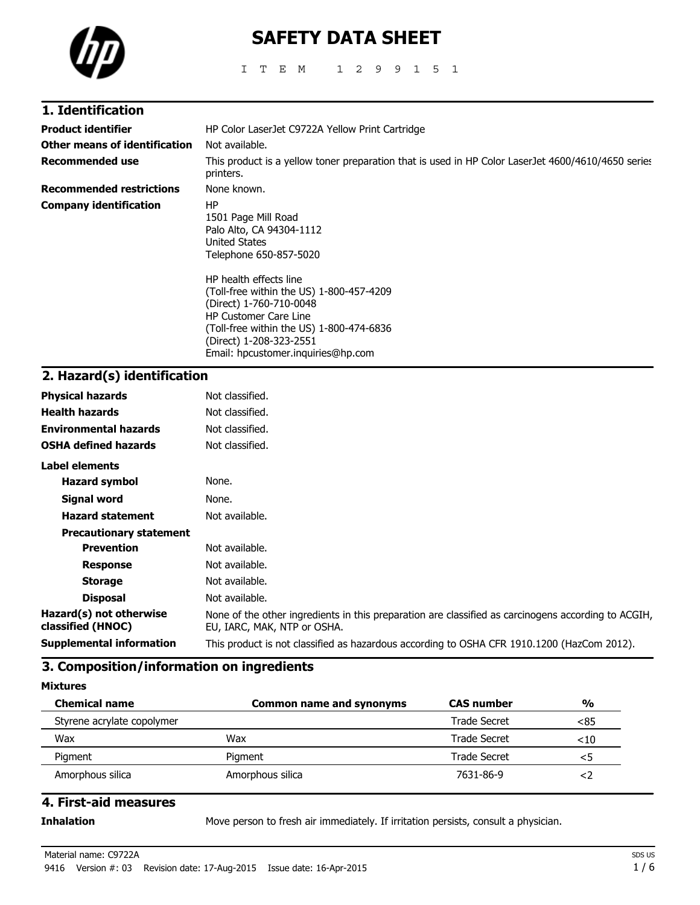

# **SAFETY DATA SHEET**

ITEM 1299151

| 1. Identification               |                                                                                                                                                                                                                                            |
|---------------------------------|--------------------------------------------------------------------------------------------------------------------------------------------------------------------------------------------------------------------------------------------|
| <b>Product identifier</b>       | HP Color LaserJet C9722A Yellow Print Cartridge                                                                                                                                                                                            |
| Other means of identification   | Not available.                                                                                                                                                                                                                             |
| <b>Recommended use</b>          | This product is a yellow toner preparation that is used in HP Color LaserJet 4600/4610/4650 series<br>printers.                                                                                                                            |
| <b>Recommended restrictions</b> | None known.                                                                                                                                                                                                                                |
| <b>Company identification</b>   | ΗP<br>1501 Page Mill Road<br>Palo Alto, CA 94304-1112<br>United States<br>Telephone 650-857-5020                                                                                                                                           |
|                                 | HP health effects line<br>(Toll-free within the US) 1-800-457-4209<br>(Direct) 1-760-710-0048<br><b>HP Customer Care Line</b><br>(Toll-free within the US) 1-800-474-6836<br>(Direct) 1-208-323-2551<br>Email: hpcustomer.inquiries@hp.com |

# **2. Hazard(s) identification**

| <b>Physical hazards</b>                      | Not classified.                                                                                                                    |
|----------------------------------------------|------------------------------------------------------------------------------------------------------------------------------------|
| <b>Health hazards</b>                        | Not classified.                                                                                                                    |
| <b>Environmental hazards</b>                 | Not classified.                                                                                                                    |
| <b>OSHA defined hazards</b>                  | Not classified.                                                                                                                    |
| Label elements                               |                                                                                                                                    |
| <b>Hazard symbol</b>                         | None.                                                                                                                              |
| Signal word                                  | None.                                                                                                                              |
| <b>Hazard statement</b>                      | Not available.                                                                                                                     |
| <b>Precautionary statement</b>               |                                                                                                                                    |
| <b>Prevention</b>                            | Not available.                                                                                                                     |
| <b>Response</b>                              | Not available.                                                                                                                     |
| <b>Storage</b>                               | Not available.                                                                                                                     |
| <b>Disposal</b>                              | Not available.                                                                                                                     |
| Hazard(s) not otherwise<br>classified (HNOC) | None of the other ingredients in this preparation are classified as carcinogens according to ACGIH,<br>EU, IARC, MAK, NTP or OSHA. |
| <b>Supplemental information</b>              | This product is not classified as hazardous according to OSHA CFR 1910.1200 (HazCom 2012).                                         |
|                                              |                                                                                                                                    |

# **3. Composition/information on ingredients**

**Mixtures**

| <b>Chemical name</b>       | <b>Common name and synonyms</b> | <b>CAS</b> number | $\frac{0}{0}$ |
|----------------------------|---------------------------------|-------------------|---------------|
| Styrene acrylate copolymer |                                 | Trade Secret      | < 85          |
| Wax                        | Wax                             | Trade Secret      | $<$ 10        |
| Pigment                    | Pigment                         | Trade Secret      | <5            |
| Amorphous silica           | Amorphous silica                | 7631-86-9         |               |

### **4. First-aid measures**

**Inhalation** Move person to fresh air immediately. If irritation persists, consult a physician.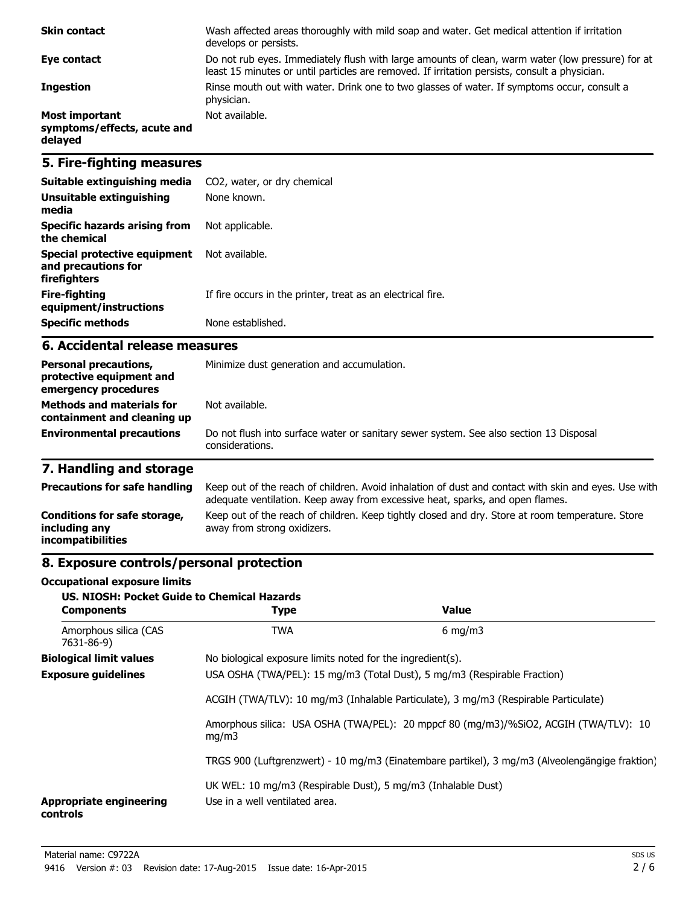| <b>Skin contact</b>                                             | Wash affected areas thoroughly with mild soap and water. Get medical attention if irritation<br>develops or persists.                                                                             |
|-----------------------------------------------------------------|---------------------------------------------------------------------------------------------------------------------------------------------------------------------------------------------------|
| Eye contact                                                     | Do not rub eyes. Immediately flush with large amounts of clean, warm water (low pressure) for at<br>least 15 minutes or until particles are removed. If irritation persists, consult a physician. |
| <b>Ingestion</b>                                                | Rinse mouth out with water. Drink one to two glasses of water. If symptoms occur, consult a<br>physician.                                                                                         |
| <b>Most important</b><br>symptoms/effects, acute and<br>delayed | Not available.                                                                                                                                                                                    |

## **5. Fire-fighting measures**

| Suitable extinguishing media                                        | CO2, water, or dry chemical                                 |
|---------------------------------------------------------------------|-------------------------------------------------------------|
| Unsuitable extinguishing<br>media                                   | None known.                                                 |
| Specific hazards arising from<br>the chemical                       | Not applicable.                                             |
| Special protective equipment<br>and precautions for<br>firefighters | Not available.                                              |
| Fire-fighting<br>equipment/instructions                             | If fire occurs in the printer, treat as an electrical fire. |
| <b>Specific methods</b>                                             | None established.                                           |

### **6. Accidental release measures**

| <b>Personal precautions,</b><br>protective equipment and<br>emergency procedures | Minimize dust generation and accumulation.                                                                |  |
|----------------------------------------------------------------------------------|-----------------------------------------------------------------------------------------------------------|--|
| <b>Methods and materials for</b><br>containment and cleaning up                  | Not available.                                                                                            |  |
| <b>Environmental precautions</b>                                                 | Do not flush into surface water or sanitary sewer system. See also section 13 Disposal<br>considerations. |  |

# **7. Handling and storage**

| <b>Precautions for safe handling</b>                                      | Keep out of the reach of children. Avoid inhalation of dust and contact with skin and eyes. Use with<br>adequate ventilation. Keep away from excessive heat, sparks, and open flames. |
|---------------------------------------------------------------------------|---------------------------------------------------------------------------------------------------------------------------------------------------------------------------------------|
| Conditions for safe storage,<br>including any<br><i>incompatibilities</i> | Keep out of the reach of children. Keep tightly closed and dry. Store at room temperature. Store<br>away from strong oxidizers.                                                       |

# **8. Exposure controls/personal protection**

#### **Occupational exposure limits**

| <b>US. NIOSH: Pocket Guide to Chemical Hazards</b><br><b>Components</b> | <b>Type</b>                                                                                                                                                     | <b>Value</b>                                                                                   |
|-------------------------------------------------------------------------|-----------------------------------------------------------------------------------------------------------------------------------------------------------------|------------------------------------------------------------------------------------------------|
| Amorphous silica (CAS<br>7631-86-9)                                     | <b>TWA</b>                                                                                                                                                      | $6 \text{ mg/m}$                                                                               |
| <b>Biological limit values</b>                                          | No biological exposure limits noted for the ingredient(s).                                                                                                      |                                                                                                |
| <b>Exposure guidelines</b>                                              | USA OSHA (TWA/PEL): 15 mg/m3 (Total Dust), 5 mg/m3 (Respirable Fraction)<br>ACGIH (TWA/TLV): 10 mg/m3 (Inhalable Particulate), 3 mg/m3 (Respirable Particulate) |                                                                                                |
|                                                                         |                                                                                                                                                                 |                                                                                                |
| mq/m3                                                                   |                                                                                                                                                                 | Amorphous silica: USA OSHA (TWA/PEL): 20 mppcf 80 (mg/m3)/%SiO2, ACGIH (TWA/TLV): 10           |
|                                                                         |                                                                                                                                                                 | TRGS 900 (Luftgrenzwert) - 10 mg/m3 (Einatembare partikel), 3 mg/m3 (Alveolengängige fraktion) |
| <b>Appropriate engineering</b><br>controls                              | UK WEL: 10 mg/m3 (Respirable Dust), 5 mg/m3 (Inhalable Dust)<br>Use in a well ventilated area.                                                                  |                                                                                                |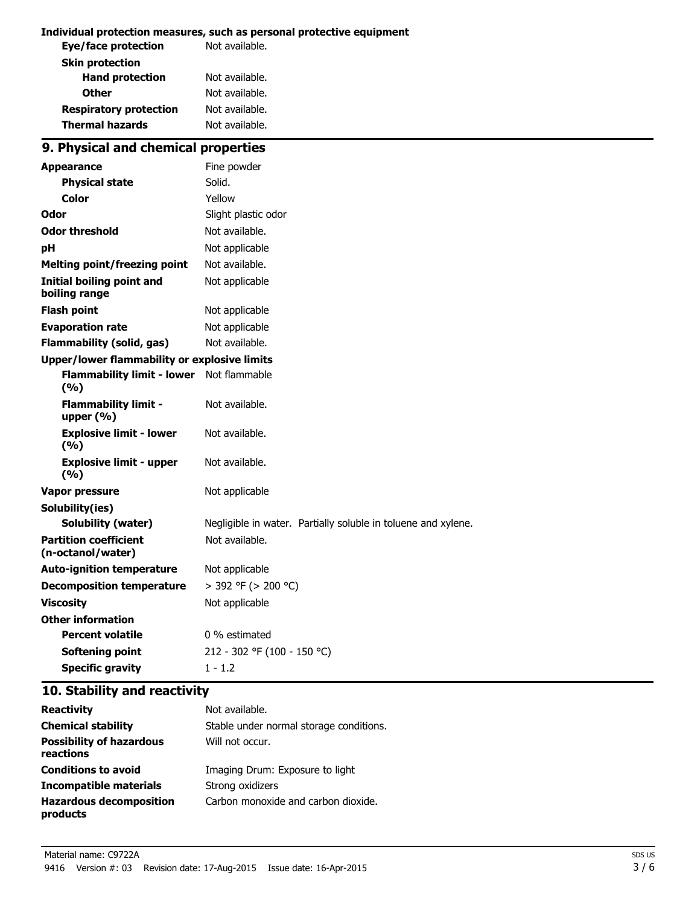#### **Individual protection measures, such as personal protective equipment**

| Not available. |
|----------------|
|                |
| Not available. |
| Not available. |
| Not available. |
| Not available. |
|                |

# **9. Physical and chemical properties**

| <b>Appearance</b>                                 | Fine powder                                                   |
|---------------------------------------------------|---------------------------------------------------------------|
| <b>Physical state</b>                             | Solid.                                                        |
| Color                                             | Yellow                                                        |
| Odor                                              | Slight plastic odor                                           |
| <b>Odor threshold</b>                             | Not available.                                                |
| рH                                                | Not applicable                                                |
| <b>Melting point/freezing point</b>               | Not available.                                                |
| <b>Initial boiling point and</b><br>boiling range | Not applicable                                                |
| <b>Flash point</b>                                | Not applicable                                                |
| <b>Evaporation rate</b>                           | Not applicable                                                |
| <b>Flammability (solid, gas)</b>                  | Not available.                                                |
| Upper/lower flammability or explosive limits      |                                                               |
| <b>Flammability limit - lower</b><br>(%)          | Not flammable                                                 |
| <b>Flammability limit -</b><br>upper (%)          | Not available.                                                |
| <b>Explosive limit - lower</b><br>(9/6)           | Not available.                                                |
| <b>Explosive limit - upper</b><br>(%)             | Not available.                                                |
| <b>Vapor pressure</b>                             | Not applicable                                                |
| Solubility(ies)                                   |                                                               |
| <b>Solubility (water)</b>                         | Negligible in water. Partially soluble in toluene and xylene. |
| <b>Partition coefficient</b><br>(n-octanol/water) | Not available.                                                |
| <b>Auto-ignition temperature</b>                  | Not applicable                                                |
| <b>Decomposition temperature</b>                  | > 392 °F (> 200 °C)                                           |
| <b>Viscosity</b>                                  | Not applicable                                                |
| <b>Other information</b>                          |                                                               |
| <b>Percent volatile</b>                           | 0 % estimated                                                 |
| Softening point                                   | 212 - 302 °F (100 - 150 °C)                                   |
| <b>Specific gravity</b>                           | $1 - 1.2$                                                     |

### **10. Stability and reactivity**

| <b>Reactivity</b>                            | Not available.                          |
|----------------------------------------------|-----------------------------------------|
| <b>Chemical stability</b>                    | Stable under normal storage conditions. |
| <b>Possibility of hazardous</b><br>reactions | Will not occur.                         |
| <b>Conditions to avoid</b>                   | Imaging Drum: Exposure to light         |
| Incompatible materials                       | Strong oxidizers                        |
| <b>Hazardous decomposition</b><br>products   | Carbon monoxide and carbon dioxide.     |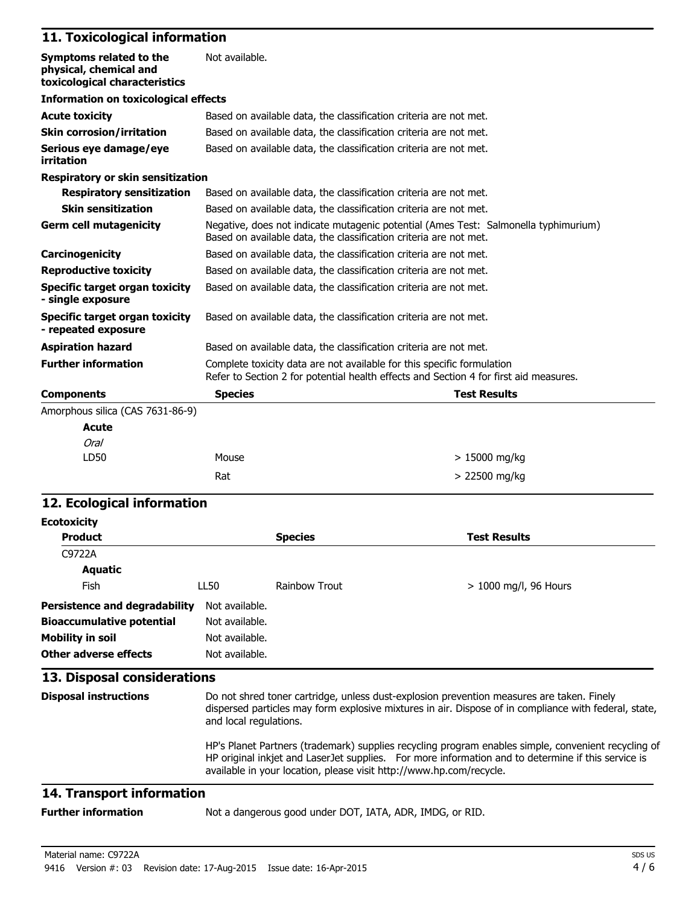# **11. Toxicological information**

| Symptoms related to the<br>physical, chemical and<br>toxicological characteristics | Not available.                                                                                                                                                  |                     |
|------------------------------------------------------------------------------------|-----------------------------------------------------------------------------------------------------------------------------------------------------------------|---------------------|
| <b>Information on toxicological effects</b>                                        |                                                                                                                                                                 |                     |
| <b>Acute toxicity</b>                                                              | Based on available data, the classification criteria are not met.                                                                                               |                     |
| <b>Skin corrosion/irritation</b>                                                   | Based on available data, the classification criteria are not met.                                                                                               |                     |
| Serious eye damage/eye<br>irritation                                               | Based on available data, the classification criteria are not met.                                                                                               |                     |
| <b>Respiratory or skin sensitization</b>                                           |                                                                                                                                                                 |                     |
| <b>Respiratory sensitization</b>                                                   | Based on available data, the classification criteria are not met.                                                                                               |                     |
| <b>Skin sensitization</b>                                                          | Based on available data, the classification criteria are not met.                                                                                               |                     |
| <b>Germ cell mutagenicity</b>                                                      | Negative, does not indicate mutagenic potential (Ames Test: Salmonella typhimurium)<br>Based on available data, the classification criteria are not met.        |                     |
| Carcinogenicity                                                                    | Based on available data, the classification criteria are not met.                                                                                               |                     |
| <b>Reproductive toxicity</b>                                                       | Based on available data, the classification criteria are not met.                                                                                               |                     |
| Specific target organ toxicity<br>- single exposure                                | Based on available data, the classification criteria are not met.                                                                                               |                     |
| Specific target organ toxicity<br>- repeated exposure                              | Based on available data, the classification criteria are not met.                                                                                               |                     |
| <b>Aspiration hazard</b>                                                           | Based on available data, the classification criteria are not met.                                                                                               |                     |
| <b>Further information</b>                                                         | Complete toxicity data are not available for this specific formulation<br>Refer to Section 2 for potential health effects and Section 4 for first aid measures. |                     |
| <b>Components</b>                                                                  | <b>Species</b>                                                                                                                                                  | <b>Test Results</b> |
| Amorphous silica (CAS 7631-86-9)                                                   |                                                                                                                                                                 |                     |
| <b>Acute</b>                                                                       |                                                                                                                                                                 |                     |
| <b>Oral</b>                                                                        |                                                                                                                                                                 |                     |
| LD50                                                                               | Mouse                                                                                                                                                           | $>15000$ mg/kg      |
|                                                                                    | Rat                                                                                                                                                             | > 22500 mg/kg       |

### **12. Ecological information**

| <b>Ecotoxicity</b>                                                                                             |                                                                                                                                                                                                                                                                                  |                      |                         |
|----------------------------------------------------------------------------------------------------------------|----------------------------------------------------------------------------------------------------------------------------------------------------------------------------------------------------------------------------------------------------------------------------------|----------------------|-------------------------|
| <b>Product</b>                                                                                                 |                                                                                                                                                                                                                                                                                  | <b>Species</b>       | <b>Test Results</b>     |
| C9722A                                                                                                         |                                                                                                                                                                                                                                                                                  |                      |                         |
| Aquatic                                                                                                        |                                                                                                                                                                                                                                                                                  |                      |                         |
| Fish                                                                                                           | LL50                                                                                                                                                                                                                                                                             | <b>Rainbow Trout</b> | $> 1000$ mg/l, 96 Hours |
| Persistence and degradability<br><b>Bioaccumulative potential</b><br>Mobility in soil<br>Other adverse effects | Not available.<br>Not available.<br>Not available.<br>Not available.                                                                                                                                                                                                             |                      |                         |
| 13. Disposal considerations                                                                                    |                                                                                                                                                                                                                                                                                  |                      |                         |
| <b>Disposal instructions</b>                                                                                   | Do not shred toner cartridge, unless dust-explosion prevention measures are taken. Finely<br>dispersed particles may form explosive mixtures in air. Dispose of in compliance with federal, state,<br>and local regulations.                                                     |                      |                         |
|                                                                                                                | HP's Planet Partners (trademark) supplies recycling program enables simple, convenient recycling of<br>HP original inkjet and LaserJet supplies. For more information and to determine if this service is<br>available in your location, please visit http://www.hp.com/recycle. |                      |                         |

# **14. Transport information**

**Further information** Not a dangerous good under DOT, IATA, ADR, IMDG, or RID.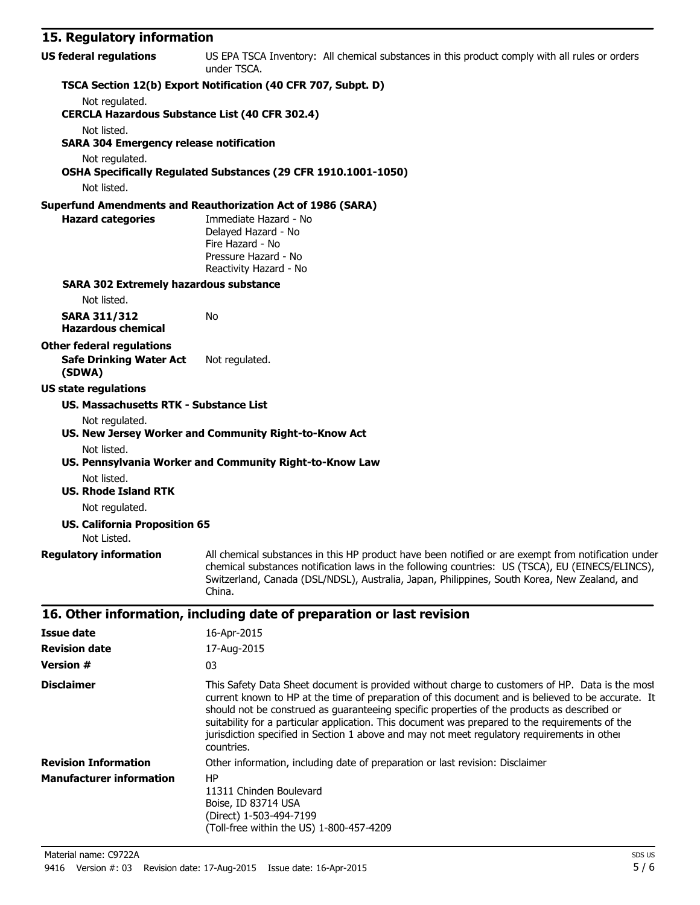### **15. Regulatory information**

| TS: Incanator I<br>""""""""""""                               |                                                                                                                                                                                                                                                                                                                                          |
|---------------------------------------------------------------|------------------------------------------------------------------------------------------------------------------------------------------------------------------------------------------------------------------------------------------------------------------------------------------------------------------------------------------|
| <b>US federal regulations</b>                                 | US EPA TSCA Inventory: All chemical substances in this product comply with all rules or orders<br>under TSCA.                                                                                                                                                                                                                            |
|                                                               | TSCA Section 12(b) Export Notification (40 CFR 707, Subpt. D)                                                                                                                                                                                                                                                                            |
| Not regulated.                                                |                                                                                                                                                                                                                                                                                                                                          |
| <b>CERCLA Hazardous Substance List (40 CFR 302.4)</b>         |                                                                                                                                                                                                                                                                                                                                          |
| Not listed.<br><b>SARA 304 Emergency release notification</b> |                                                                                                                                                                                                                                                                                                                                          |
| Not regulated.                                                |                                                                                                                                                                                                                                                                                                                                          |
|                                                               | OSHA Specifically Regulated Substances (29 CFR 1910.1001-1050)                                                                                                                                                                                                                                                                           |
| Not listed.                                                   |                                                                                                                                                                                                                                                                                                                                          |
|                                                               | <b>Superfund Amendments and Reauthorization Act of 1986 (SARA)</b>                                                                                                                                                                                                                                                                       |
| <b>Hazard categories</b>                                      | Immediate Hazard - No<br>Delayed Hazard - No<br>Fire Hazard - No<br>Pressure Hazard - No<br>Reactivity Hazard - No                                                                                                                                                                                                                       |
| <b>SARA 302 Extremely hazardous substance</b>                 |                                                                                                                                                                                                                                                                                                                                          |
| Not listed.                                                   |                                                                                                                                                                                                                                                                                                                                          |
| <b>SARA 311/312</b><br><b>Hazardous chemical</b>              | No                                                                                                                                                                                                                                                                                                                                       |
| <b>Other federal regulations</b>                              |                                                                                                                                                                                                                                                                                                                                          |
| <b>Safe Drinking Water Act</b><br>(SDWA)                      | Not regulated.                                                                                                                                                                                                                                                                                                                           |
| <b>US state regulations</b>                                   |                                                                                                                                                                                                                                                                                                                                          |
| <b>US. Massachusetts RTK - Substance List</b>                 |                                                                                                                                                                                                                                                                                                                                          |
| Not regulated.                                                | US. New Jersey Worker and Community Right-to-Know Act                                                                                                                                                                                                                                                                                    |
| Not listed.                                                   | US. Pennsylvania Worker and Community Right-to-Know Law                                                                                                                                                                                                                                                                                  |
| Not listed.                                                   |                                                                                                                                                                                                                                                                                                                                          |
| <b>US. Rhode Island RTK</b>                                   |                                                                                                                                                                                                                                                                                                                                          |
| Not regulated.                                                |                                                                                                                                                                                                                                                                                                                                          |
| <b>US. California Proposition 65</b><br>Not Listed.           |                                                                                                                                                                                                                                                                                                                                          |
|                                                               | Regulatory information All chemical substances in this HP product have been notified or are exempt from notification under<br>chemical substances notification laws in the following countries: US (TSCA), EU (EINECS/ELINCS),<br>Switzerland, Canada (DSL/NDSL), Australia, Japan, Philippines, South Korea, New Zealand, and<br>China. |
|                                                               | 16. Other information, including date of preparation or last revision                                                                                                                                                                                                                                                                    |
| <b>Issue date</b>                                             | 16-Apr-2015                                                                                                                                                                                                                                                                                                                              |
| <b>Revision date</b>                                          | 17-Aug-2015                                                                                                                                                                                                                                                                                                                              |

| NGVISIVII UULG                  | II AUY CUIJ                                                                                                                                                                                                                                                                                                                                                                                                                                                                                                          |
|---------------------------------|----------------------------------------------------------------------------------------------------------------------------------------------------------------------------------------------------------------------------------------------------------------------------------------------------------------------------------------------------------------------------------------------------------------------------------------------------------------------------------------------------------------------|
| <b>Version #</b>                | 03                                                                                                                                                                                                                                                                                                                                                                                                                                                                                                                   |
| <b>Disclaimer</b>               | This Safety Data Sheet document is provided without charge to customers of HP. Data is the most<br>current known to HP at the time of preparation of this document and is believed to be accurate. It<br>should not be construed as guaranteeing specific properties of the products as described or<br>suitability for a particular application. This document was prepared to the requirements of the<br>jurisdiction specified in Section 1 above and may not meet regulatory requirements in other<br>countries. |
| <b>Revision Information</b>     | Other information, including date of preparation or last revision: Disclaimer                                                                                                                                                                                                                                                                                                                                                                                                                                        |
| <b>Manufacturer information</b> | HP<br>11311 Chinden Boulevard<br>Boise, ID 83714 USA<br>(Direct) 1-503-494-7199<br>(Toll-free within the US) 1-800-457-4209                                                                                                                                                                                                                                                                                                                                                                                          |